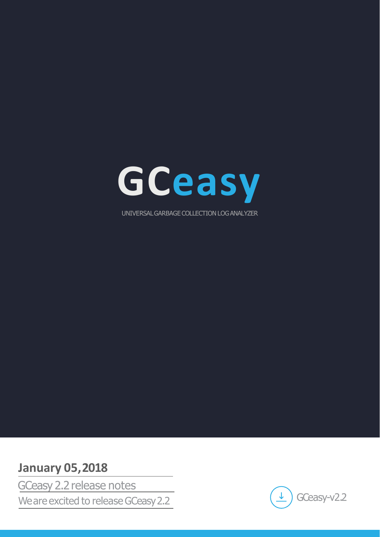

# **January 05,2018**

We are excited to release GCeasy 2.2 GCeasy 2.2 release notes

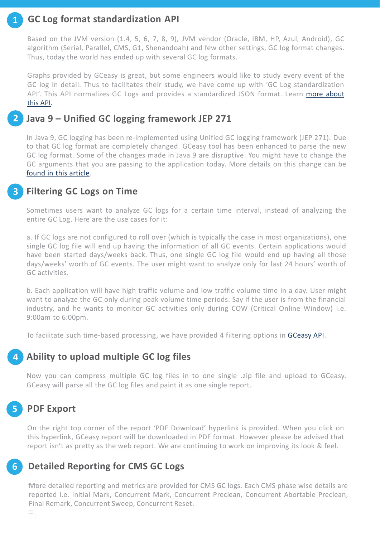# **GC Log format standardization API**

Based on the JVM version (1.4, 5, 6, 7, 8, 9), JVM vendor (Oracle, IBM, HP, Azul, Android), GC algorithm (Serial, Parallel, CMS, G1, Shenandoah) and few other settings, GC log format changes. Thus, today the world has ended up with several GC log formats.

Graphs provided by GCeasy is great, but some engineers would like to study every event of the GC log in detail. Thus to facilitates their study, we have come up with 'GC Log standardization API['](http://blog.gceasy.io/2017/08/15/gc-log-standardization-api/). This API normalizes GC Logs and provides a standardized JSON format. Learn [more](http://blog.gceasy.io/2017/08/15/gc-log-standardization-api/) [about](http://blog.gceasy.io/2017/08/15/gc-log-standardization-api/) [this](http://blog.gceasy.io/2017/08/15/gc-log-standardization-api/) [API.](http://blog.gceasy.io/2017/08/15/gc-log-standardization-api/)

### **Java 9 – Unified GC logging framework JEP 271 2**

In Java 9, GC logging has been re-implemented using Unified GC logging framework (JEP 271). Due to that GC log format are completely changed. GCeasy tool has been enhanced to parse the new GC log format. Some of the changes made in Java 9 are disruptive. You might have to change the GC ar[g](https://blog.gceasy.io/2017/10/17/disruptive-changes-to-gc-logging-in-java-9-what-you-need-to-do/)u[m](https://blog.gceasy.io/2017/10/17/disruptive-changes-to-gc-logging-in-java-9-what-you-need-to-do/)ents that you are passing to the application today. More details on this change can be [found](https://blog.gceasy.io/2017/10/17/disruptive-changes-to-gc-logging-in-java-9-what-you-need-to-do/) [in](https://blog.gceasy.io/2017/10/17/disruptive-changes-to-gc-logging-in-java-9-what-you-need-to-do/) [this](https://blog.gceasy.io/2017/10/17/disruptive-changes-to-gc-logging-in-java-9-what-you-need-to-do/) [article.](https://blog.gceasy.io/2017/10/17/disruptive-changes-to-gc-logging-in-java-9-what-you-need-to-do/)

### **Filtering GC Logs on Time 3**

Sometimes users want to analyze GC logs for a certain time interval, instead of analyzing the entire GC Log. Here are the use cases for it:

a. If GC logs are not configured to roll over (which is typically the case in most organizations), one single GC log file will end up having the information of all GC events. Certain applications would have been started days/weeks back. Thus, one single GC log file would end up having all those days/weeks' worth of GC events. The user might want to analyze only for last 24 hours' worth of GC activities.

b. Each application will have high traffic volume and low traffic volume time in a day. User might want to analyze the GC only during peak volume time periods. Say if the user is from the financial industry, and he wants to monitor GC activities only during COW (Critical Online Window) i.e. 9:00am to 6:00pm.

To facilitate such time-based processing, we have provided 4 filtering options in [GCeasy](https://blog.gceasy.io/2016/06/18/garbage-collection-log-analysis-api/) [API](https://blog.gceasy.io/2016/06/18/garbage-collection-log-analysis-api/).

# **Ability to upload multiple GC log files**

Now you can compress multiple GC log files in to one single .zip file and upload to GCeasy. GCeasy will parse all the GC log files and paint it as one single report.

### **PDF Export 5**

**4**

**1**

On the right top corner of the report 'PDF Download' hyperlink is provided. When you click on this hyperlink, GCeasy report will be downloaded in PDF format. However please be advised that report isn't as pretty as the web report. We are continuing to work on improving its look & feel.

### **Detailed Reporting for CMS GC Logs 6**

More detailed reporting and metrics are provided for CMS GC logs. Each CMS phase wise details are reported i.e. Initial Mark, Concurrent Mark, Concurrent Preclean, Concurrent Abortable Preclean, Final Remark, Concurrent Sweep, Concurrent Reset.